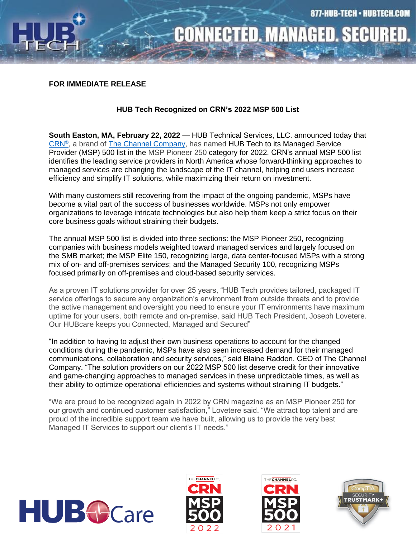

## **CONNECTED. MANAGED. SECURE**

## **FOR IMMEDIATE RELEASE**

## **HUB Tech Recognized on CRN's 2022 MSP 500 List**

**South Easton, MA, February 22, 2022 —** HUB Technical Services, LLC. announced today that [CRN](http://www.crn.com/)**[®](http://www.crn.com/)** , a brand of [The Channel Company,](http://www.thechannelco.com/) has named HUB Tech to its Managed Service Provider (MSP) 500 list in the MSP Pioneer 250 category for 2022. CRN's annual MSP 500 list identifies the leading service providers in North America whose forward-thinking approaches to managed services are changing the landscape of the IT channel, helping end users increase efficiency and simplify IT solutions, while maximizing their return on investment.

With many customers still recovering from the impact of the ongoing pandemic, MSPs have become a vital part of the success of businesses worldwide. MSPs not only empower organizations to leverage intricate technologies but also help them keep a strict focus on their core business goals without straining their budgets.

The annual MSP 500 list is divided into three sections: the MSP Pioneer 250, recognizing companies with business models weighted toward managed services and largely focused on the SMB market; the MSP Elite 150, recognizing large, data center-focused MSPs with a strong mix of on- and off-premises services; and the Managed Security 100, recognizing MSPs focused primarily on off-premises and cloud-based security services.

As a proven IT solutions provider for over 25 years, "HUB Tech provides tailored, packaged IT service offerings to secure any organization's environment from outside threats and to provide the active management and oversight you need to ensure your IT environments have maximum uptime for your users, both remote and on-premise, said HUB Tech President, Joseph Lovetere. Our HUBcare keeps you Connected, Managed and Secured"

"In addition to having to adjust their own business operations to account for the changed conditions during the pandemic, MSPs have also seen increased demand for their managed communications, collaboration and security services," said Blaine Raddon, CEO of The Channel Company. "The solution providers on our 2022 MSP 500 list deserve credit for their innovative and game-changing approaches to managed services in these unpredictable times, as well as their ability to optimize operational efficiencies and systems without straining IT budgets."

"We are proud to be recognized again in 2022 by CRN magazine as an MSP Pioneer 250 for our growth and continued customer satisfaction," Lovetere said. "We attract top talent and are proud of the incredible support team we have built, allowing us to provide the very best Managed IT Services to support our client's IT needs."